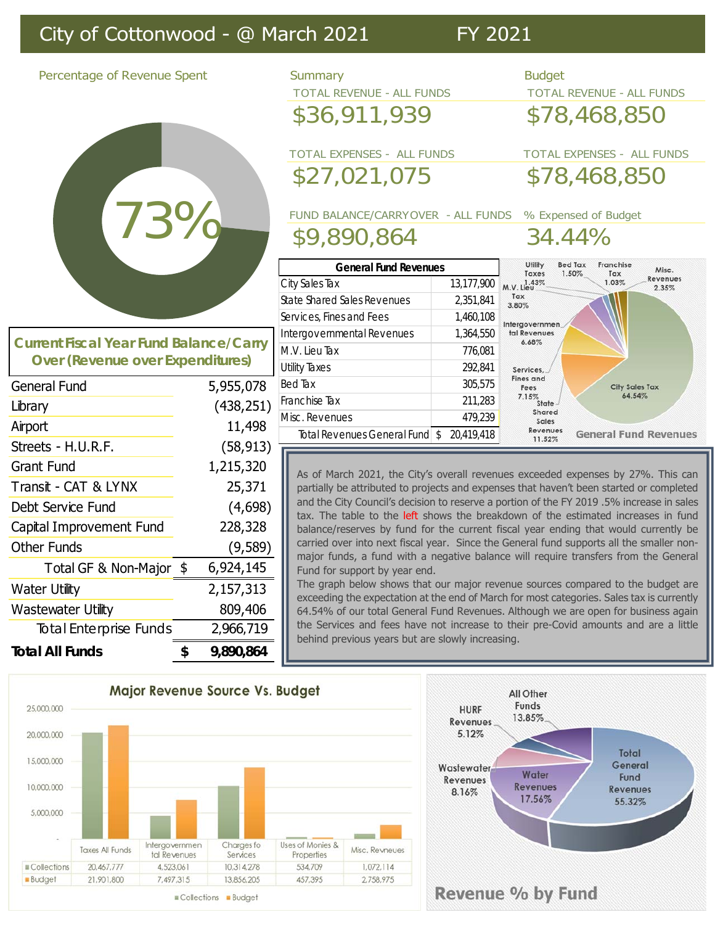## City of Cottonwood - @ March 2021 FY 2021

Percentage of Revenue Spent Summary Summary Budget

# 73% 73%

**Current Over** 

| <b>TOTAL REVENUE - ALL FUNDS</b>  | <b>TOTAL REVENUE - ALL FUNDS</b> |                                                                          |  |
|-----------------------------------|----------------------------------|--------------------------------------------------------------------------|--|
| \$36,911,939                      |                                  | \$78,468,850                                                             |  |
| <b>TOTAL EXPENSES - ALL FUNDS</b> |                                  | <b>TOTAL EXPENSES - ALL FUNDS</b>                                        |  |
| \$27,021,075                      |                                  | \$78,468,850                                                             |  |
|                                   |                                  | FUND BALANCE/CARRYOVER - ALL FUNDS % Expensed of Budget                  |  |
| \$9,890,864                       |                                  | 34.44%                                                                   |  |
| <b>General Fund Revenues</b>      |                                  | Franchise<br><b>Bed Tax</b><br>Utility<br>Misc.<br>Taxes<br>1.50%<br>Tax |  |
| City Sales Tax                    | 13,177,900                       | Revenues<br>1.03%<br>M.V. Lieu<br>2.35%                                  |  |
| State Shared Sales Revenues       | 2,351,841                        | Tax<br>3.80%                                                             |  |
| Services, Fines and Fees          | 1,460,108                        | <b>ANTICOLOGY</b>                                                        |  |

| Fiscal Year Fund Balance/Carry |           | Intergovernmenta<br>M.V. Lieu Tax |
|--------------------------------|-----------|-----------------------------------|
| (Revenue over Expenditures)    |           | <b>Utility Taxes</b>              |
| und                            | 5,955,078 | <b>Bed Tax</b>                    |

| <b>General Fund</b>           | 5,955,078       | Bed Tax              |
|-------------------------------|-----------------|----------------------|
| Library                       | (438, 251)      | Franchise            |
| Airport                       | 11,498          | Misc. Rev<br>Total F |
| Streets - H.U.R.F.            | (58, 913)       |                      |
| <b>Grant Fund</b>             | 1,215,320       | As of                |
| Transit - CAT & LYNX          | 25,371          | partial              |
| Debt Service Fund             | (4,698)         | and th<br>tax. T     |
| Capital Improvement Fund      | 228,328         | baland               |
| <b>Other Funds</b>            | (9,589)         | carried<br>major     |
| Total GF & Non-Major \$       | 6,924,145       | Fund 1               |
| <b>Water Utility</b>          | 2,157,313       | The g<br>excee       |
| Wastewater Utility            | 809,406         | 64.54                |
| <b>Total Enterprise Funds</b> | 2,966,719       | the Se<br>behin      |
| <b>Total All Funds</b>        | \$<br>9,890,864 |                      |

| <u>General fund kevenues</u> |            | 1.50%<br>Taxes<br>Tax                         |
|------------------------------|------------|-----------------------------------------------|
| City Sales Tax               | 13,177,900 | 1.03%<br>M.V. Lieu                            |
| State Shared Sales Revenues  | 2,351,841  | Tax<br>3.80%                                  |
| Services, Fines and Fees     | 1,460,108  | Intergovernmen                                |
| Intergovernmental Revenues   | 1,364,550  | tal Revenues<br>6.68%                         |
| M.V. Lieu Tax                | 776,081    |                                               |
| Utility Taxes                | 292,841    | Services,                                     |
| Bed Tax                      | 305,575    | <b>Fines and</b><br><b>City Sales</b><br>Fees |
| Franchise Tax                | 211,283    | 64.54%<br>7.15%<br><b>State</b>               |
| Misc. Revenues               | 479,239    | Shared<br>Sales                               |

Tax

**General Fund Revenues** 

Misc. Reve Total Revenues General Fund  $\sim$  20,419,418

As of March 2021, the City's overall revenues exceeded expenses by 27%. This can partially be attributed to projects and expenses that haven't been started or completed and the City Council's decision to reserve a portion of the FY 2019 .5% increase in sales tax. The table to the left shows the breakdown of the estimated increases in fund balance/reserves by fund for the current fiscal year ending that would currently be carried over into next fiscal year. Since the General fund supports all the smaller nonmajor funds, a fund with a negative balance will require transfers from the General Fund for support by year end.

 $Re$  venues<br>11.52%

The graph below shows that our major revenue sources compared to the budget are exceeding the expectation at the end of March for most categories. Sales tax is currently 64.54% of our total General Fund Revenues. Although we are open for business again the Services and fees have not increase to their pre-Covid amounts and are a little behind previous years but are slowly increasing.